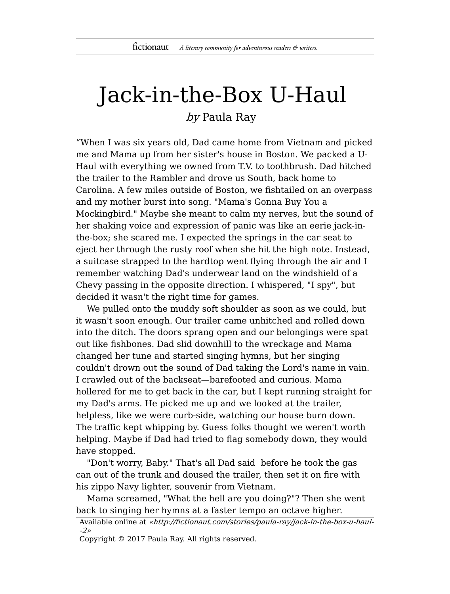## Jack-in-the-Box U-Haul

by Paula Ray

"When I was six years old, Dad came home from Vietnam and picked me and Mama up from her sister's house in Boston. We packed a U-Haul with everything we owned from T.V. to toothbrush. Dad hitched the trailer to the Rambler and drove us South, back home to Carolina. A few miles outside of Boston, we fishtailed on an overpass and my mother burst into song. "Mama's Gonna Buy You a Mockingbird." Maybe she meant to calm my nerves, but the sound of her shaking voice and expression of panic was like an eerie jack-inthe-box; she scared me. I expected the springs in the car seat to eject her through the rusty roof when she hit the high note. Instead, a suitcase strapped to the hardtop went flying through the air and I remember watching Dad's underwear land on the windshield of a Chevy passing in the opposite direction. I whispered, "I spy", but decided it wasn't the right time for games.

We pulled onto the muddy soft shoulder as soon as we could, but it wasn't soon enough. Our trailer came unhitched and rolled down into the ditch. The doors sprang open and our belongings were spat out like fishbones. Dad slid downhill to the wreckage and Mama changed her tune and started singing hymns, but her singing couldn't drown out the sound of Dad taking the Lord's name in vain. I crawled out of the backseat—barefooted and curious. Mama hollered for me to get back in the car, but I kept running straight for my Dad's arms. He picked me up and we looked at the trailer, helpless, like we were curb-side, watching our house burn down. The traffic kept whipping by. Guess folks thought we weren't worth helping. Maybe if Dad had tried to flag somebody down, they would have stopped.

"Don't worry, Baby." That's all Dad said before he took the gas can out of the trunk and doused the trailer, then set it on fire with his zippo Navy lighter, souvenir from Vietnam.

Mama screamed, "What the hell are you doing?"? Then she went back to singing her hymns at a faster tempo an octave higher.

Available online at «http://fictionaut.com/stories/paula-ray/jack-in-the-box-u-haul- -2»

Copyright © 2017 Paula Ray. All rights reserved.